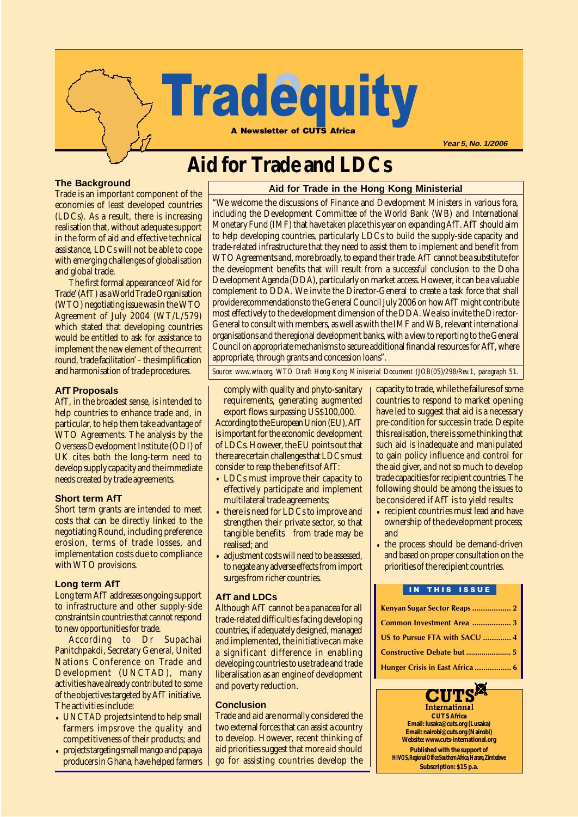

**Year 5, No. 1/2006**

# **Aid for Trade and LDCs**

#### **The Background**

Trade is an important component of the economies of least developed countries (LDCs). As a result, there is increasing realisation that, without adequate support in the form of aid and effective technical assistance, LDCs will not be able to cope with emerging challenges of globalisation and global trade.

The first formal appearance of 'Aid for Trade' (AfT) as a World Trade Organisation (WTO) negotiating issue was in the WTO Agreement of July 2004 (WT/L/579) which stated that developing countries would be entitled to ask for assistance to implement the new element of the current round, 'trade facilitation' – the simplification and harmonisation of trade procedures.

#### **AfT Proposals**

AfT, in the broadest sense, is intended to help countries to enhance trade and, in particular, to help them take advantage of WTO Agreements. The analysis by the Overseas Development Institute (ODI) of UK cites both the long-term need to develop supply capacity and the immediate needs created by trade agreements.

#### **Short term AfT**

Short term grants are intended to meet costs that can be directly linked to the negotiating Round, including preference erosion, terms of trade losses, and implementation costs due to compliance with WTO provisions.

#### **Long term AfT**

Long term AfT addresses ongoing support to infrastructure and other supply-side constraints in countries that cannot respond to new opportunities for trade.

According to Dr Supachai Panitchpakdi, Secretary General, United Nations Conference on Trade and Development (UNCTAD), many activities have already contributed to some of the objectives targeted by AfT initiative. The activities include:

- UNCTAD projects intend to help small farmers impsrove the quality and competitiveness of their products; and
- projects targeting small mango and papaya producers in Ghana, have helped farmers

#### **Aid for Trade in the Hong Kong Ministerial**

"We welcome the discussions of Finance and Development Ministers in various fora, including the Development Committee of the World Bank (WB) and International Monetary Fund (IMF) that have taken place this year on expanding AfT. AfT should aim to help developing countries, particularly LDCs to build the supply-side capacity and trade-related infrastructure that they need to assist them to implement and benefit from WTO Agreements and, more broadly, to expand their trade. AfT cannot be a substitute for the development benefits that will result from a successful conclusion to the Doha Development Agenda (DDA), particularly on market access. However, it can be a valuable complement to DDA. We invite the Director-General to create a task force that shall provide recommendations to the General Council July 2006 on how AfT might contribute most effectively to the development dimension of the DDA. We also invite the Director-General to consult with members, as well as with the IMF and WB, relevant international organisations and the regional development banks, with a view to reporting to the General Council on appropriate mechanisms to secure additional financial resources for AfT, where appropriate, through grants and concession loans".

*Source: www.wto.org, WTO Draft Hong Kong Ministerial Document (JOB(05)/298/Rev.1, paragraph 51.*

comply with quality and phyto-sanitary requirements, generating augmented export flows surpassing US\$100,000.

According to the European Union (EU), AfT is important for the economic development of LDCs. However, the EU points out that there are certain challenges that LDCs must consider to reap the benefits of AfT:

- LDCs must improve their capacity to effectively participate and implement multilateral trade agreements;
- there is need for LDCs to improve and strengthen their private sector, so that tangible benefits from trade may be realised; and
- adjustment costs will need to be assessed, to negate any adverse effects from import surges from richer countries.

#### **AfT and LDCs**

Although AfT cannot be a panacea for all trade-related difficulties facing developing countries, if adequately designed, managed and implemented, the initiative can make a significant difference in enabling developing countries to use trade and trade liberalisation as an engine of development and poverty reduction.

#### **Conclusion**

Trade and aid are normally considered the two external forces that can assist a country to develop. However, recent thinking of aid priorities suggest that more aid should go for assisting countries develop the capacity to trade, while the failures of some countries to respond to market opening have led to suggest that aid is a necessary pre-condition for success in trade. Despite this realisation, there is some thinking that such aid is inadequate and manipulated to gain policy influence and control for the aid giver, and not so much to develop trade capacities for recipient countries. The following should be among the issues to be considered if AfT is to yield results:

- recipient countries must lead and have ownership of the development process; and
- the process should be demand-driven and based on proper consultation on the priorities of the recipient countries.

#### IN THIS ISSUE

| Common Investment Area  3       |
|---------------------------------|
| US to Pursue FTA with SACU  4   |
|                                 |
| Hunger Crisis in East Africa  6 |

International **CUTS Africa Email: lusaka@cuts.org (Lusaka) Email: nairobi@cuts.org (Nairobi) Website: www.cuts-international.org**

**Published with the support of HIVOS, Regional Office Southern Africa, Harare, Zimbabwe Subscription: \$15 p.a.**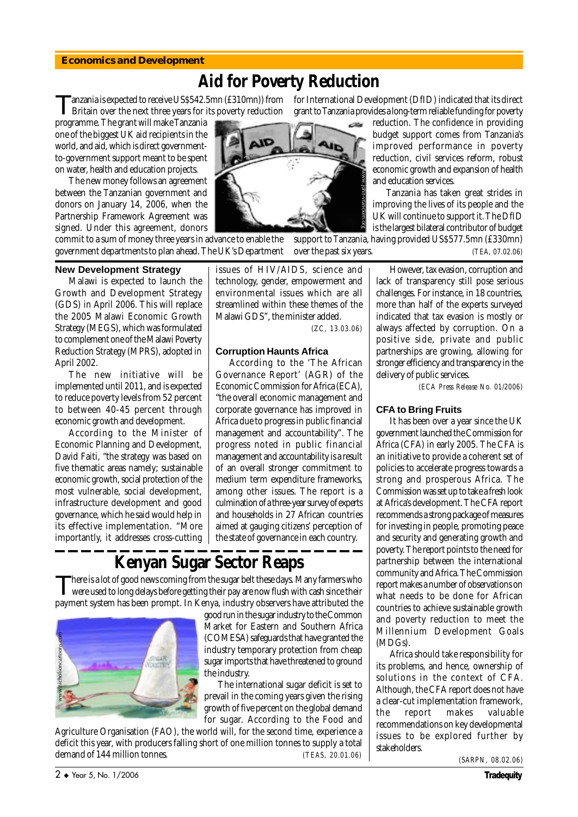#### **Economics and Development**

# **Aid for Poverty Reduction**

Britain over the next three years for its poverty reduction

programme. The grant will make Tanzania one of the biggest UK aid recipients in the world, and aid, which is direct governmentto-government support meant to be spent on water, health and education projects.

The new money follows an agreement between the Tanzanian government and donors on January 14, 2006, when the Partnership Framework Agreement was signed. Under this agreement, donors

commit to a sum of money three years in advance to enable the government departments to plan ahead. The UK's Department

#### **New Development Strategy**

Malawi is expected to launch the Growth and Development Strategy (GDS) in April 2006. This will replace the 2005 Malawi Economic Growth Strategy (MEGS), which was formulated to complement one of the Malawi Poverty Reduction Strategy (MPRS), adopted in April 2002.

The new initiative will be implemented until 2011, and is expected to reduce poverty levels from 52 percent to between 40-45 percent through economic growth and development.

According to the Minister of Economic Planning and Development, David Faiti, "the strategy was based on five thematic areas namely; sustainable economic growth, social protection of the most vulnerable, social development, infrastructure development and good governance, which he said would help in its effective implementation. "More importantly, it addresses cross-cutting issues of HIV/AIDS, science and technology, gender, empowerment and environmental issues which are all streamlined within these themes of the Malawi GDS", the minister added.

*(ZC, 13.03.06)*

www.john-vrancken.org

#### **Corruption Haunts Africa**

According to the 'The African Governance Report' (AGR) of the Economic Commission for Africa (ECA), "the overall economic management and corporate governance has improved in Africa due to progress in public financial management and accountability". The progress noted in public financial management and accountability is a result of an overall stronger commitment to medium term expenditure frameworks, among other issues. The report is a culmination of a three-year survey of experts and households in 27 African countries aimed at gauging citizens' perception of the state of governance in each country.

# **Kenyan Sugar Sector Reaps**

There is a lot of good news coming from the sugar belt these days. Many farmers who were used to long delays before getting their pay are now flush with cash since their payment system has been prompt. In Kenya, industry observers have attributed the



good run in the sugar industry to the Common Market for Eastern and Southern Africa (COMESA) safeguards that have granted the industry temporary protection from cheap sugar imports that have threatened to ground the industry.

The international sugar deficit is set to prevail in the coming years given the rising growth of five percent on the global demand for sugar. According to the Food and

Agriculture Organisation (FAO), the world will, for the second time, experience a deficit this year, with producers falling short of one million tonnes to supply a total demand of 144 million tonnes. *(TEAS, 20.01.06)*

Tanzania is expected to receive US\$542.5mn (£310mn)) from for International Development (DfID) indicated that its direct grant to Tanzania provides a long-term reliable funding for poverty

reduction. The confidence in providing budget support comes from Tanzania's improved performance in poverty reduction, civil services reform, robust economic growth and expansion of health and education services.

Tanzania has taken great strides in improving the lives of its people and the UK will continue to support it. The DfID is the largest bilateral contributor of budget

support to Tanzania, having provided US\$577.5mn (£330mn) over the past six years. *(TEA, 07.02.06)*

> However, tax evasion, corruption and lack of transparency still pose serious challenges. For instance, in 18 countries, more than half of the experts surveyed indicated that tax evasion is mostly or always affected by corruption. On a positive side, private and public partnerships are growing, allowing for stronger efficiency and transparency in the delivery of public services.

> > *(ECA Press Release No. 01/2006)*

#### **CFA to Bring Fruits**

It has been over a year since the UK government launched the Commission for Africa (CFA) in early 2005. The CFA is an initiative to provide a coherent set of policies to accelerate progress towards a strong and prosperous Africa. The Commission was set up to take a fresh look at Africa's development. The CFA report recommends a strong package of measures for investing in people, promoting peace and security and generating growth and poverty. The report points to the need for partnership between the international community and Africa. The Commission report makes a number of observations on what needs to be done for African countries to achieve sustainable growth and poverty reduction to meet the Millennium Development Goals (MDGs).

Africa should take responsibility for its problems, and hence, ownership of solutions in the context of CFA. Although, the CFA report does not have a clear-cut implementation framework, the report makes valuable recommendations on key developmental issues to be explored further by stakeholders.

*(SARPN, 08.02.06)*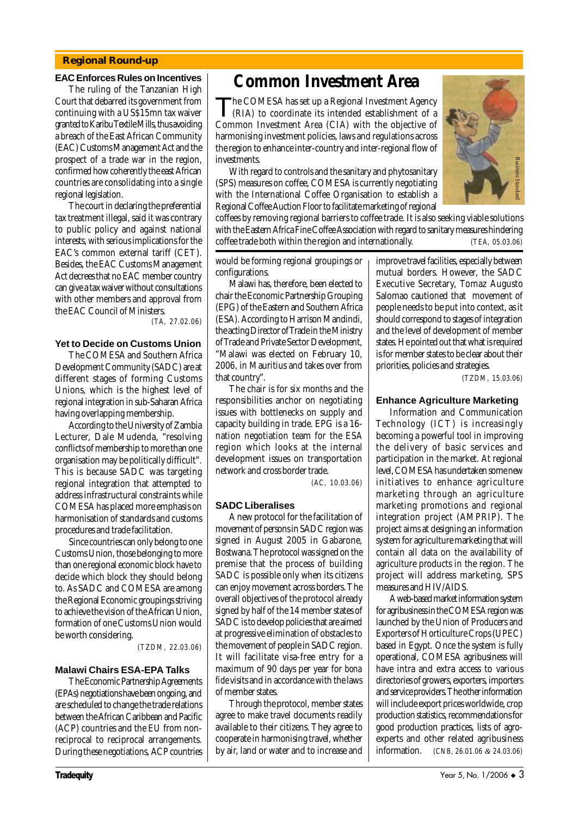#### **Regional Round-up**

#### **EAC Enforces Rules on Incentives**

The ruling of the Tanzanian High Court that debarred its government from continuing with a US\$15mn tax waiver granted to Karibu Textile Mills, thus avoiding a breach of the East African Community (EAC) Customs Management Act and the prospect of a trade war in the region, confirmed how coherently the east African countries are consolidating into a single regional legislation.

The court in declaring the preferential tax treatment illegal, said it was contrary to public policy and against national interests, with serious implications for the EAC's common external tariff (CET). Besides, the EAC Customs Management Act decrees that no EAC member country can give a tax waiver without consultations with other members and approval from the EAC Council of Ministers.

*(TA, 27.02.06)*

#### **Yet to Decide on Customs Union**

The COMESA and Southern Africa Development Community (SADC) are at different stages of forming Customs Unions, which is the highest level of regional integration in sub-Saharan Africa having overlapping membership.

According to the University of Zambia Lecturer, Dale Mudenda, "resolving conflicts of membership to more than one organisation may be politically difficult". This is because SADC was targeting regional integration that attempted to address infrastructural constraints while COMESA has placed more emphasis on harmonisation of standards and customs procedures and trade facilitation.

Since countries can only belong to one Customs Union, those belonging to more than one regional economic block have to decide which block they should belong to. As SADC and COMESA are among the Regional Economic groupings striving to achieve the vision of the African Union, formation of one Customs Union would be worth considering.

*(TZDM, 22.03.06)*

#### **Malawi Chairs ESA-EPA Talks**

The Economic Partnership Agreements (EPAs) negotiations have been ongoing, and are scheduled to change the trade relations between the African Caribbean and Pacific (ACP) countries and the EU from nonreciprocal to reciprocal arrangements. During these negotiations, ACP countries

### **Common Investment Area**

The COMESA has set up a Regional Investment Agency<br>(RIA) to coordinate its intended establishment of a Common Investment Area (CIA) with the objective of harmonising investment policies, laws and regulations across the region to enhance inter-country and inter-regional flow of investments.

With regard to controls and the sanitary and phytosanitary (SPS) measures on coffee, COMESA is currently negotiating with the International Coffee Organisation to establish a Regional Coffee Auction Floor to facilitate marketing of regional



coffees by removing regional barriers to coffee trade. It is also seeking viable solutions with the Eastern Africa Fine Coffee Association with regard to sanitary measures hindering Extreme trade to controls and the sanitary and phytosanitary<br>
(SPS) measures on coffee, COMESA is currently negotiating<br>
with the International Coffee Organisation to establish a<br>
Regional Coffee Auction Floor to facilitat

would be forming regional groupings or configurations.

Malawi has, therefore, been elected to chair the Economic Partnership Grouping (EPG) of the Eastern and Southern Africa (ESA). According to Harrison Mandindi, the acting Director of Trade in the Ministry of Trade and Private Sector Development, "Malawi was elected on February 10, 2006, in Mauritius and takes over from that country".

The chair is for six months and the responsibilities anchor on negotiating issues with bottlenecks on supply and capacity building in trade. EPG is a 16 nation negotiation team for the ESA region which looks at the internal development issues on transportation network and cross border trade.

*(AC, 10.03.06)*

#### **SADC Liberalises**

A new protocol for the facilitation of movement of persons in SADC region was signed in August 2005 in Gabarone, Bostwana. The protocol was signed on the premise that the process of building SADC is possible only when its citizens can enjoy movement across borders. The overall objectives of the protocol already signed by half of the 14 member states of SADC is to develop policies that are aimed at progressive elimination of obstacles to the movement of people in SADC region. It will facilitate visa-free entry for a maximum of 90 days per year for *bona fide* visits and in accordance with the laws of member states.

Through the protocol, member states agree to make travel documents readily available to their citizens. They agree to cooperate in harmonising travel, whether by air, land or water and to increase and improve travel facilities, especially between mutual borders. However, the SADC Executive Secretary, Tomaz Augusto Salomao cautioned that movement of people needs to be put into context, as it should correspond to stages of integration and the level of development of member states. He pointed out that what is required is for member states to be clear about their priorities, policies and strategies.

*(TZDM, 15.03.06)*

#### **Enhance Agriculture Marketing**

Information and Communication Technology (ICT) is increasingly becoming a powerful tool in improving the delivery of basic services and participation in the market. At regional level, COMESA has undertaken some new initiatives to enhance agriculture marketing through an agriculture marketing promotions and regional integration project (AMPRIP). The project aims at designing an information system for agriculture marketing that will contain all data on the availability of agriculture products in the region. The project will address marketing, SPS measures and HIV/AIDS.

A web-based market information system for agribusiness in the COMESA region was launched by the Union of Producers and Exporters of Horticulture Crops (UPEC) based in Egypt. Once the system is fully operational, COMESA agribusiness will have intra and extra access to various directories of growers, exporters, importers and service providers. The other information will include export prices worldwide, crop production statistics, recommendations for good production practices, lists of agroexperts and other related agribusiness information. *(CNB, 26.01.06 & 24.03.06)*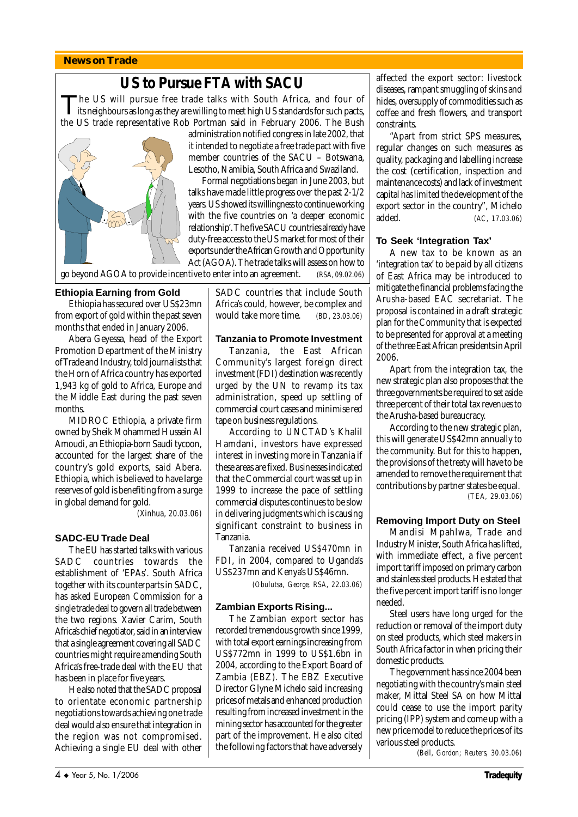#### **News on Trade**

# **US to Pursue FTA with SACU**

The US will pursue free trade talks with South Africa, and four of its neighbours as long as they are willing to meet high US standards for such pacts, the US trade representative Rob Portman said in February 2006. The Bush



administration notified congress in late 2002, that it intended to negotiate a free trade pact with five member countries of the SACU – Botswana, Lesotho, Namibia, South Africa and Swaziland.

Formal negotiations began in June 2003, but talks have made little progress over the past 2-1/2 years. US showed its willingness to continue working with the five countries on 'a deeper economic relationship'. The five SACU countries already have duty-free access to the US market for most of their exports under the African Growth and Opportunity Act (AGOA). The trade talks will assess on how to

go beyond AGOA to provide incentive to enter into an agreement. *(RSA, 09.02.06)*

#### **Ethiopia Earning from Gold**

Ethiopia has secured over US\$23mn from export of gold within the past seven months that ended in January 2006.

Abera Geyessa, head of the Export Promotion Department of the Ministry of Trade and Industry, told journalists that the Horn of Africa country has exported 1,943 kg of gold to Africa, Europe and the Middle East during the past seven months.

MIDROC Ethiopia, a private firm owned by Sheik Mohammed Hussein Al Amoudi, an Ethiopia-born Saudi tycoon, accounted for the largest share of the country's gold exports, said Abera. Ethiopia, which is believed to have large reserves of gold is benefiting from a surge in global demand for gold.

*(Xinhua, 20.03.06)*

#### **SADC-EU Trade Deal**

The EU has started talks with various SADC countries towards the establishment of 'EPAs'. South Africa together with its counterparts in SADC, has asked European Commission for a single trade deal to govern all trade between the two regions. Xavier Carim, South Africa's chief negotiator, said in an interview that a single agreement covering all SADC countries might require amending South Africa's free-trade deal with the EU that has been in place for five years.

He also noted that the SADC proposal to orientate economic partnership negotiations towards achieving one trade deal would also ensure that integration in the region was not compromised. Achieving a single EU deal with other SADC countries that include South Africa's could, however, be complex and would take more time. *(BD, 23.03.06)*

#### **Tanzania to Promote Investment**

Tanzania, the East African Community's largest foreign direct investment (FDI) destination was recently urged by the UN to revamp its tax administration, speed up settling of commercial court cases and minimise red tape on business regulations.

According to UNCTAD's Khalil Hamdani, investors have expressed interest in investing more in Tanzania if these areas are fixed. Businesses indicated that the Commercial court was set up in 1999 to increase the pace of settling commercial disputes continues to be slow in delivering judgments which is causing significant constraint to business in Tanzania.

Tanzania received US\$470mn in FDI, in 2004, compared to Uganda's US\$237mn and Kenya's US\$46mn.

*(Obulutsa, George, RSA, 22.03.06)*

#### **Zambian Exports Rising...**

The Zambian export sector has recorded tremendous growth since 1999, with total export earnings increasing from US\$772mn in 1999 to US\$1.6bn in 2004, according to the Export Board of Zambia (EBZ). The EBZ Executive Director Glyne Michelo said increasing prices of metals and enhanced production resulting from increased investment in the mining sector has accounted for the greater part of the improvement. He also cited the following factors that have adversely affected the export sector: livestock diseases, rampant smuggling of skins and hides, oversupply of commodities such as coffee and fresh flowers, and transport constraints.

"Apart from strict SPS measures, regular changes on such measures as quality, packaging and labelling increase the cost (certification, inspection and maintenance costs) and lack of investment capital has limited the development of the export sector in the country", Michelo added. *(AC, 17.03.06)*

#### **To Seek 'Integration Tax'**

A new tax to be known as an 'integration tax' to be paid by all citizens of East Africa may be introduced to mitigate the financial problems facing the Arusha-based EAC secretariat. The proposal is contained in a draft strategic plan for the Community that is expected to be presented for approval at a meeting of the three East African presidents in April 2006.

Apart from the integration tax, the new strategic plan also proposes that the three governments be required to set aside three percent of their total tax revenues to the Arusha-based bureaucracy.

According to the new strategic plan, this will generate US\$42mn annually to the community. But for this to happen, the provisions of the treaty will have to be amended to remove the requirement that contributions by partner states be equal.  *(TEA, 29.03.06)*

#### **Removing Import Duty on Steel**

Mandisi Mpahlwa, Trade and Industry Minister, South Africa has lifted, with immediate effect, a five percent import tariff imposed on primary carbon and stainless steel products. He stated that the five percent import tariff is no longer needed.

Steel users have long urged for the reduction or removal of the import duty on steel products, which steel makers in South Africa factor in when pricing their domestic products.

The government has since 2004 been negotiating with the country's main steel maker, Mittal Steel SA on how Mittal could cease to use the import parity pricing (IPP) system and come up with a new price model to reduce the prices of its various steel products.

*(Bell, Gordon; Reuters, 30.03.06)*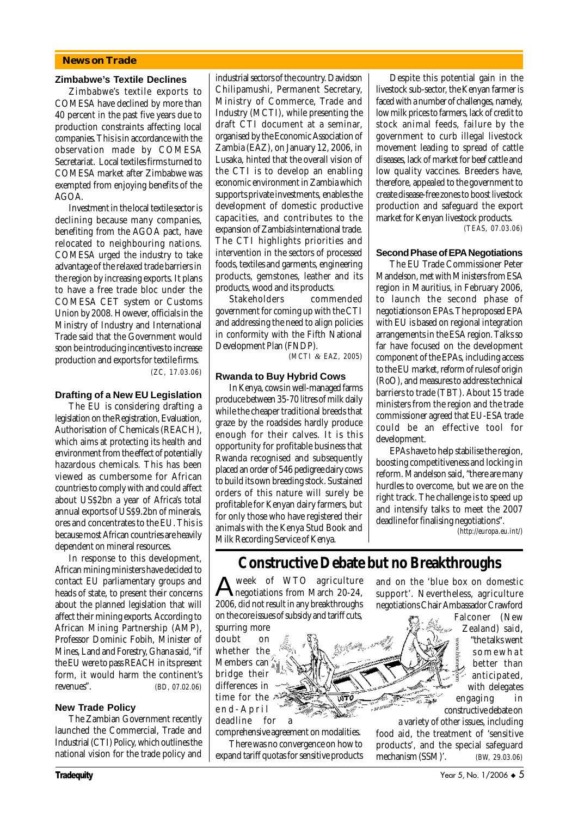#### **News on Trade**

#### **Zimbabwe's Textile Declines**

Zimbabwe's textile exports to COMESA have declined by more than 40 percent in the past five years due to production constraints affecting local companies. This is in accordance with the observation made by COMESA Secretariat. Local textiles firms turned to COMESA market after Zimbabwe was exempted from enjoying benefits of the  $AGOA$ 

Investment in the local textile sector is declining because many companies, benefiting from the AGOA pact, have relocated to neighbouring nations. COMESA urged the industry to take advantage of the relaxed trade barriers in the region by increasing exports. It plans to have a free trade bloc under the COMESA CET system or Customs Union by 2008. However, officials in the Ministry of Industry and International Trade said that the Government would soon be introducing incentives to increase production and exports for textile firms. *(ZC, 17.03.06)*

#### **Drafting of a New EU Legislation**

The EU is considering drafting a legislation on the Registration, Evaluation, Authorisation of Chemicals (REACH), which aims at protecting its health and environment from the effect of potentially hazardous chemicals. This has been viewed as cumbersome for African countries to comply with and could affect about US\$2bn a year of Africa's total annual exports of US\$9.2bn of minerals, ores and concentrates to the EU. This is because most African countries are heavily dependent on mineral resources.

In response to this development, African mining ministers have decided to contact EU parliamentary groups and heads of state, to present their concerns about the planned legislation that will affect their mining exports. According to African Mining Partnership (AMP), Professor Dominic Fobih, Minister of Mines, Land and Forestry, Ghana said, "if the EU were to pass REACH in its present form, it would harm the continent's revenues". *(BD, 07.02.06)*

#### **New Trade Policy**

The Zambian Government recently launched the Commercial, Trade and Industrial (CTI) Policy, which outlines the national vision for the trade policy and industrial sectors of the country. Davidson Chilipamushi, Permanent Secretary, Ministry of Commerce, Trade and Industry (MCTI), while presenting the draft CTI document at a seminar, organised by the Economic Association of Zambia (EAZ), on January 12, 2006, in Lusaka, hinted that the overall vision of the CTI is to develop an enabling economic environment in Zambia which supports private investments, enables the development of domestic productive capacities, and contributes to the expansion of Zambia's international trade. The CTI highlights priorities and intervention in the sectors of processed foods, textiles and garments, engineering products, gemstones, leather and its products, wood and its products.

Stakeholders commended government for coming up with the CTI and addressing the need to align policies in conformity with the Fifth National Development Plan (FNDP).

*(MCTI & EAZ, 2005)*

#### **Rwanda to Buy Hybrid Cows**

In Kenya, cows in well-managed farms produce between 35-70 litres of milk daily while the cheaper traditional breeds that graze by the roadsides hardly produce enough for their calves. It is this opportunity for profitable business that Rwanda recognised and subsequently placed an order of 546 pedigree dairy cows to build its own breeding stock. Sustained orders of this nature will surely be profitable for Kenyan dairy farmers, but for only those who have registered their animals with the Kenya Stud Book and Milk Recording Service of Kenya.

Despite this potential gain in the livestock sub-sector, the Kenyan farmer is faced with a number of challenges, namely, low milk prices to farmers, lack of credit to stock animal feeds, failure by the government to curb illegal livestock movement leading to spread of cattle diseases, lack of market for beef cattle and low quality vaccines. Breeders have, therefore, appealed to the government to create disease-free zones to boost livestock production and safeguard the export market for Kenyan livestock products. *(TEAS, 07.03.06)*

#### **Second Phase of EPA Negotiations**

The EU Trade Commissioner Peter Mandelson, met with Ministers from ESA region in Mauritius, in February 2006, to launch the second phase of negotiations on EPAs. The proposed EPA with EU is based on regional integration arrangements in the ESA region. Talks so far have focused on the development component of the EPAs, including access to the EU market, reform of rules of origin (RoO), and measures to address technical barriers to trade (TBT). About 15 trade ministers from the region and the trade commissioner agreed that EU-ESA trade could be an effective tool for development.

EPAs have to help stabilise the region, boosting competitiveness and locking in reform. Mandelson said, "there are many hurdles to overcome, but we are on the right track. The challenge is to speed up and intensify talks to meet the 2007 deadline for finalising negotiations".

*(http://europa.eu.int/)*

### **Constructive Debate but no Breakthroughs**

™

Aweek of WTO agriculture negotiations from March 20-24, 2006, did not result in any breakthroughs on the core issues of subsidy and tariff cuts, spurring more

doubt on whether the Members can bridge their differences in time for the end-April deadline for a

comprehensive agreement on modalities. There was no convergence on how to expand tariff quotas for sensitive products and on the 'blue box on domestic support'. Nevertheless, agriculture negotiations Chair Ambassador Crawford

> Falconer (New Zealand) said, "the talks went somewhat better than anticipated, with delegates engaging in

constructive debate on a variety of other issues, including

food aid, the treatment of 'sensitive products', and the special safeguard The talks went<br>
some what<br>
some what<br>
better than<br>
better than<br>
better than<br>
better than<br>
in constructive debate on<br>
a variety of other issues, including<br>
food aid, the treatment of 'sensitive<br>
products', and the special s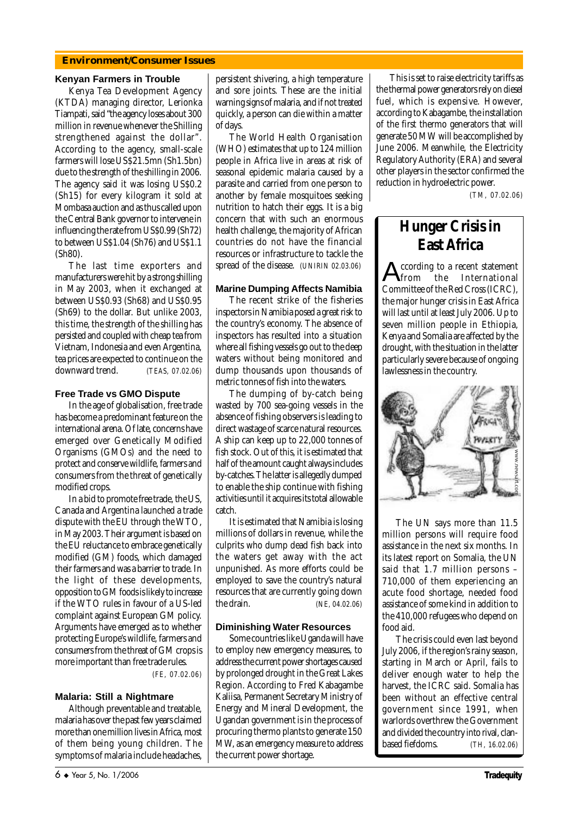#### **Environment/Consumer Issues**

#### **Kenyan Farmers in Trouble**

Kenya Tea Development Agency (KTDA) managing director, Lerionka Tiampati, said "the agency loses about 300 million in revenue whenever the Shilling strengthened against the dollar". According to the agency, small-scale farmers will lose US\$21.5mn (Sh1.5bn) due to the strength of the shilling in 2006. The agency said it was losing US\$0.2 (Sh15) for every kilogram it sold at Mombasa auction and as thus called upon the Central Bank governor to intervene in influencing the rate from US\$0.99 (Sh72) to between US\$1.04 (Sh76) and US\$1.1 (Sh80).

The last time exporters and manufacturers were hit by a strong shilling in May 2003, when it exchanged at between US\$0.93 (Sh68) and US\$0.95 (Sh69) to the dollar. But unlike 2003, this time, the strength of the shilling has persisted and coupled with cheap tea from Vietnam, Indonesia and even Argentina, tea prices are expected to continue on the downward trend. *(TEAS, 07.02.06)*

#### **Free Trade vs GMO Dispute**

In the age of globalisation, free trade has become a predominant feature on the international arena. Of late, concerns have emerged over Genetically Modified Organisms (GMOs) and the need to protect and conserve wildlife, farmers and consumers from the threat of genetically modified crops.

In a bid to promote free trade, the US, Canada and Argentina launched a trade dispute with the EU through the WTO, in May 2003. Their argument is based on the EU reluctance to embrace genetically modified (GM) foods, which damaged their farmers and was a barrier to trade. In the light of these developments, opposition to GM foods is likely to increase if the WTO rules in favour of a US-led complaint against European GM policy. Arguments have emerged as to whether protecting Europe's wildlife, farmers and consumers from the threat of GM crops is more important than free trade rules.

*(FE, 07.02.06)*

#### **Malaria: Still a Nightmare**

Although preventable and treatable, malaria has over the past few years claimed more than one million lives in Africa, most of them being young children. The symptoms of malaria include headaches,

persistent shivering, a high temperature and sore joints. These are the initial warning signs of malaria, and if not treated quickly, a person can die within a matter of days.

The World Health Organisation (WHO) estimates that up to 124 million people in Africa live in areas at risk of seasonal epidemic malaria caused by a parasite and carried from one person to another by female mosquitoes seeking nutrition to hatch their eggs. It is a big concern that with such an enormous health challenge, the majority of African countries do not have the financial resources or infrastructure to tackle the spread of the disease. *(UNIRIN 02.03.06)*

#### **Marine Dumping Affects Namibia**

The recent strike of the fisheries inspectors in Namibia posed a great risk to the country's economy. The absence of inspectors has resulted into a situation where all fishing vessels go out to the deep waters without being monitored and dump thousands upon thousands of metric tonnes of fish into the waters.

The dumping of by-catch being wasted by 700 sea-going vessels in the absence of fishing observers is leading to direct wastage of scarce natural resources. A ship can keep up to 22,000 tonnes of fish stock. Out of this, it is estimated that half of the amount caught always includes by-catches. The latter is allegedly dumped to enable the ship continue with fishing activities until it acquires its total allowable catch.

It is estimated that Namibia is losing millions of dollars in revenue, while the culprits who dump dead fish back into the waters get away with the act unpunished. As more efforts could be employed to save the country's natural resources that are currently going down the drain. *(NE, 04.02.06)*

#### **Diminishing Water Resources**

Some countries like Uganda will have to employ new emergency measures, to address the current power shortages caused by prolonged drought in the Great Lakes Region. According to Fred Kabagambe Kaliisa, Permanent Secretary Ministry of Energy and Mineral Development, the Ugandan government is in the process of procuring thermo plants to generate 150 MW, as an emergency measure to address the current power shortage.

This is set to raise electricity tariffs as the thermal power generators rely on diesel fuel, which is expensive. However, according to Kabagambe, the installation of the first thermo generators that will generate 50 MW will be accomplished by June 2006. Meanwhile, the Electricity Regulatory Authority (ERA) and several other players in the sector confirmed the reduction in hydroelectric power.

*(TM, 07.02.06)*

### **Hunger Crisis in East Africa**

According to a recent statement from the International Committee of the Red Cross (ICRC), the major hunger crisis in East Africa will last until at least July 2006. Up to seven million people in Ethiopia, Kenya and Somalia are affected by the drought, with the situation in the latter particularly severe because of ongoing lawlessness in the country.



The UN says more than 11.5 million persons will require food assistance in the next six months. In its latest report on Somalia, the UN said that 1.7 million persons – 710,000 of them experiencing an acute food shortage, needed food assistance of some kind in addition to the 410,000 refugees who depend on food aid.

The crisis could even last beyond July 2006, if the region's rainy season, starting in March or April, fails to deliver enough water to help the harvest, the ICRC said. Somalia has been without an effective central government since 1991, when warlords overthrew the Government and divided the country into rival, clan-The UN says more than 11.5<br>million persons will require food<br>assistance in the next six months. In<br>its latest report on Somalia, the UN<br>said that 1.7 million persons –<br>710,000 of them experiencing an<br>acute food shortage, n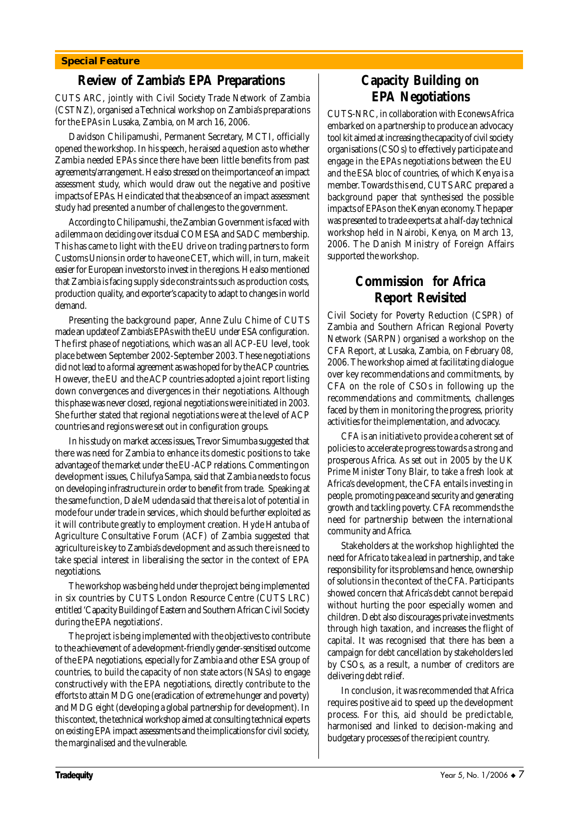#### **Special Feature**

### **Review of Zambia's EPA Preparations**

CUTS ARC, jointly with Civil Society Trade Network of Zambia (CSTNZ), organised a Technical workshop on Zambia's preparations for the EPAs in Lusaka, Zambia, on March 16, 2006.

Davidson Chilipamushi, Permanent Secretary, MCTI, officially opened the workshop. In his speech, he raised a question as to whether Zambia needed EPAs since there have been little benefits from past agreements/arrangement. He also stressed on the importance of an impact assessment study, which would draw out the negative and positive impacts of EPAs. He indicated that the absence of an impact assessment study had presented a number of challenges to the government.

According to Chilipamushi, the Zambian Government is faced with a dilemma on deciding over its dual COMESA and SADC membership. This has came to light with the EU drive on trading partners to form Customs Unions in order to have one CET, which will, in turn, make it easier for European investors to invest in the regions. He also mentioned that Zambia is facing supply side constraints such as production costs, production quality, and exporter's capacity to adapt to changes in world demand.

Presenting the background paper, Anne Zulu Chime of CUTS made an update of Zambia's EPAs with the EU under ESA configuration. The first phase of negotiations, which was an all ACP-EU level, took place between September 2002-September 2003. These negotiations did not lead to a formal agreement as was hoped for by the ACP countries. However, the EU and the ACP countries adopted a joint report listing down convergences and divergences in their negotiations. Although this phase was never closed, regional negotiations were initiated in 2003. She further stated that regional negotiations were at the level of ACP countries and regions were set out in configuration groups.

In his study on market access issues, Trevor Simumba suggested that there was need for Zambia to enhance its domestic positions to take advantage of the market under the EU-ACP relations. Commenting on development issues, Chilufya Sampa, said that Zambia needs to focus on developing infrastructure in order to benefit from trade. Speaking at the same function, Dale Mudenda said that there is a lot of potential in mode four under trade in services , which should be further exploited as it will contribute greatly to employment creation. Hyde Hantuba of Agriculture Consultative Forum (ACF) of Zambia suggested that agriculture is key to Zambia's development and as such there is need to take special interest in liberalising the sector in the context of EPA negotiations.

The workshop was being held under the project being implemented in six countries by CUTS London Resource Centre (CUTS LRC) entitled 'Capacity Building of Eastern and Southern African Civil Society during the EPA negotiations'.

The project is being implemented with the objectives to contribute to the achievement of a development-friendly gender-sensitised outcome of the EPA negotiations, especially for Zambia and other ESA group of countries, to build the capacity of non state actors (NSAs) to engage constructively with the EPA negotiations, directly contribute to the efforts to attain MDG one (eradication of extreme hunger and poverty) and MDG eight (developing a global partnership for development). In this context, the technical workshop aimed at consulting technical experts on existing EPA impact assessments and the implications for civil society, the marginalised and the vulnerable.

### **Capacity Building on EPA Negotiations**

CUTS-NRC, in collaboration with Econews Africa embarked on a partnership to produce an advocacy tool kit aimed at increasing the capacity of civil society organisations (CSOs) to effectively participate and engage in the EPAs negotiations between the EU and the ESA bloc of countries, of which Kenya is a member. Towards this end, CUTS ARC prepared a background paper that synthesised the possible impacts of EPAs on the Kenyan economy. The paper was presented to trade experts at a half-day technical workshop held in Nairobi, Kenya, on March 13, 2006. The Danish Ministry of Foreign Affairs supported the workshop.

### **Commission for Africa Report Revisited**

Civil Society for Poverty Reduction (CSPR) of Zambia and Southern African Regional Poverty Network (SARPN) organised a workshop on the CFA Report, at Lusaka, Zambia, on February 08, 2006. The workshop aimed at facilitating dialogue over key recommendations and commitments, by CFA on the role of CSOs in following up the recommendations and commitments, challenges faced by them in monitoring the progress, priority activities for the implementation, and advocacy.

CFA is an initiative to provide a coherent set of policies to accelerate progress towards a strong and prosperous Africa. As set out in 2005 by the UK Prime Minister Tony Blair, to take a fresh look at Africa's development, the CFA entails investing in people, promoting peace and security and generating growth and tackling poverty. CFA recommends the need for partnership between the international community and Africa.

Stakeholders at the workshop highlighted the need for Africa to take a lead in partnership, and take responsibility for its problems and hence, ownership of solutions in the context of the CFA. Participants showed concern that Africa's debt cannot be repaid without hurting the poor especially women and children. Debt also discourages private investments through high taxation, and increases the flight of capital. It was recognised that there has been a campaign for debt cancellation by stakeholders led by CSOs, as a result, a number of creditors are delivering debt relief.

In conclusion, it was recommended that Africa requires positive aid to speed up the development process. For this, aid should be predictable, harmonised and linked to decision-making and budgetary processes of the recipient country.